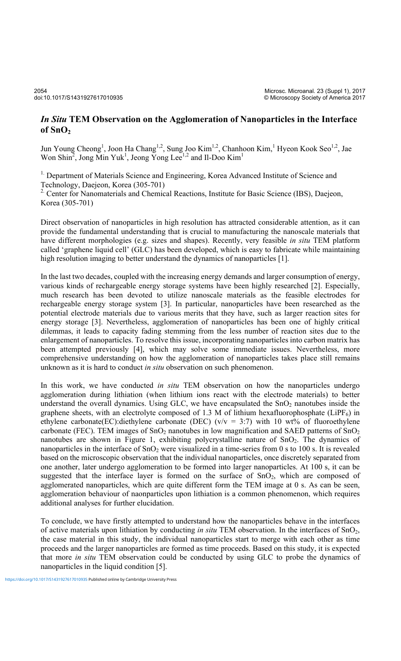## *In Situ* **TEM Observation on the Agglomeration of Nanoparticles in the Interface of SnO2**

Jun Young Cheong<sup>1</sup>, Joon Ha Chang<sup>1,2</sup>, Sung Joo Kim<sup>1,2</sup>, Chanhoon Kim,<sup>1</sup> Hyeon Kook Seo<sup>1,2</sup>, Jae Won Shin<sup>2</sup>, Jong Min Yuk<sup>1</sup>, Jeong Yong Lee<sup>1,2</sup> and Il-Doo Kim<sup>1</sup>

<sup>1.</sup> Department of Materials Science and Engineering, Korea Advanced Institute of Science and Technology, Daejeon, Korea (305-701)

<sup>2</sup> Center for Nanomaterials and Chemical Reactions, Institute for Basic Science (IBS), Daejeon, Korea (305-701)

Direct observation of nanoparticles in high resolution has attracted considerable attention, as it can provide the fundamental understanding that is crucial to manufacturing the nanoscale materials that have different morphologies (e.g. sizes and shapes). Recently, very feasible *in situ* TEM platform called 'graphene liquid cell' (GLC) has been developed, which is easy to fabricate while maintaining high resolution imaging to better understand the dynamics of nanoparticles [1].

In the last two decades, coupled with the increasing energy demands and larger consumption of energy, various kinds of rechargeable energy storage systems have been highly researched [2]. Especially, much research has been devoted to utilize nanoscale materials as the feasible electrodes for rechargeable energy storage system [3]. In particular, nanoparticles have been researched as the potential electrode materials due to various merits that they have, such as larger reaction sites for energy storage [3]. Nevertheless, agglomeration of nanoparticles has been one of highly critical dilemmas, it leads to capacity fading stemming from the less number of reaction sites due to the enlargement of nanoparticles. To resolve this issue, incorporating nanoparticles into carbon matrix has been attempted previously [4], which may solve some immediate issues. Nevertheless, more comprehensive understanding on how the agglomeration of nanoparticles takes place still remains unknown as it is hard to conduct *in situ* observation on such phenomenon.

In this work, we have conducted *in situ* TEM observation on how the nanoparticles undergo agglomeration during lithiation (when lithium ions react with the electrode materials) to better understand the overall dynamics. Using GLC, we have encapsulated the  $SnO<sub>2</sub>$  nanotubes inside the graphene sheets, with an electrolyte composed of 1.3 M of lithium hexafluorophosphate (LiPF $_6$ ) in ethylene carbonate(EC):diethylene carbonate (DEC) ( $v/v = 3:7$ ) with 10 wt% of fluoroethylene carbonate (FEC). TEM images of  $SnO<sub>2</sub>$  nanotubes in low magnification and SAED patterns of  $SnO<sub>2</sub>$ nanotubes are shown in Figure 1, exhibiting polycrystalline nature of  $SnO<sub>2</sub>$ . The dynamics of nanoparticles in the interface of  $SnO<sub>2</sub>$  were visualized in a time-series from 0 s to 100 s. It is revealed based on the microscopic observation that the individual nanoparticles, once discretely separated from one another, later undergo agglomeration to be formed into larger nanoparticles. At 100 s, it can be suggested that the interface layer is formed on the surface of  $SnO<sub>2</sub>$ , which are composed of agglomerated nanoparticles, which are quite different form the TEM image at 0 s. As can be seen, agglomeration behaviour of naonparticles upon lithiation is a common phenomenon, which requires additional analyses for further elucidation.

To conclude, we have firstly attempted to understand how the nanoparticles behave in the interfaces of active materials upon lithiation by conducting *in situ* TEM observation. In the interfaces of SnO2, the case material in this study, the individual nanoparticles start to merge with each other as time proceeds and the larger nanoparticles are formed as time proceeds. Based on this study, it is expected that more *in situ* TEM observation could be conducted by using GLC to probe the dynamics of nanoparticles in the liquid condition [5].